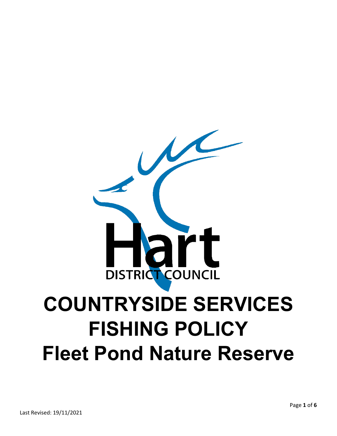# **DISTRICT COUNCIL COUNTRYSIDE SERVICES FISHING POLICY Fleet Pond Nature Reserve**

 $\overline{\mathcal{M}}$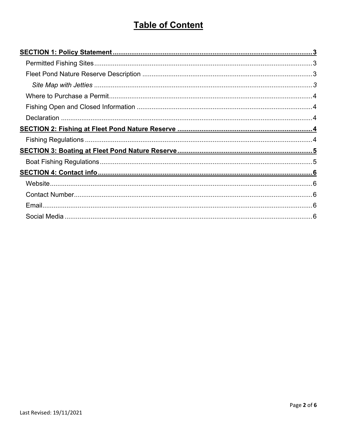# **Table of Content**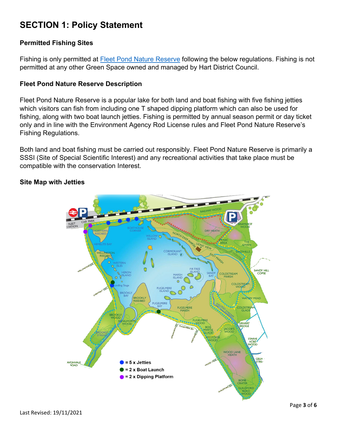# **SECTION 1: Policy Statement**

#### **Permitted Fishing Sites**

Fishing is only permitted at [Fleet Pond Nature Reserve](https://www.hart.gov.uk/fleet-pond-nature-reserve-sssi) following the below regulations. Fishing is not permitted at any other Green Space owned and managed by Hart District Council.

#### **Fleet Pond Nature Reserve Description**

Fleet Pond Nature Reserve is a popular lake for both land and boat fishing with five fishing jetties which visitors can fish from including one T shaped dipping platform which can also be used for fishing, along with two boat launch jetties. Fishing is permitted by annual season permit or day ticket only and in line with the Environment Agency Rod License rules and Fleet Pond Nature Reserve's Fishing Regulations.

Both land and boat fishing must be carried out responsibly. Fleet Pond Nature Reserve is primarily a SSSI (Site of Special Scientific Interest) and any recreational activities that take place must be compatible with the conservation Interest.

#### **Site Map with Jetties**

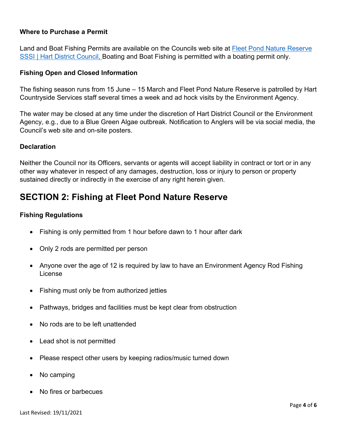#### **Where to Purchase a Permit**

Land and Boat Fishing Permits are available on the Councils web site at [Fleet Pond Nature Reserve](https://www.hart.gov.uk/fleet-pond-nature-reserve-sssi)  [SSSI | Hart District Council,](https://www.hart.gov.uk/fleet-pond-nature-reserve-sssi) Boating and Boat Fishing is permitted with a boating permit only.

#### **Fishing Open and Closed Information**

The fishing season runs from 15 June – 15 March and Fleet Pond Nature Reserve is patrolled by Hart Countryside Services staff several times a week and ad hock visits by the Environment Agency.

The water may be closed at any time under the discretion of Hart District Council or the Environment Agency, e.g., due to a Blue Green Algae outbreak. Notification to Anglers will be via social media, the Council's web site and on-site posters.

#### **Declaration**

Neither the Council nor its Officers, servants or agents will accept liability in contract or tort or in any other way whatever in respect of any damages, destruction, loss or injury to person or property sustained directly or indirectly in the exercise of any right herein given.

## **SECTION 2: Fishing at Fleet Pond Nature Reserve**

#### **Fishing Regulations**

- Fishing is only permitted from 1 hour before dawn to 1 hour after dark
- Only 2 rods are permitted per person
- Anyone over the age of 12 is required by law to have an Environment Agency Rod Fishing License
- Fishing must only be from authorized jetties
- Pathways, bridges and facilities must be kept clear from obstruction
- No rods are to be left unattended
- Lead shot is not permitted
- Please respect other users by keeping radios/music turned down
- No camping
- No fires or barbecues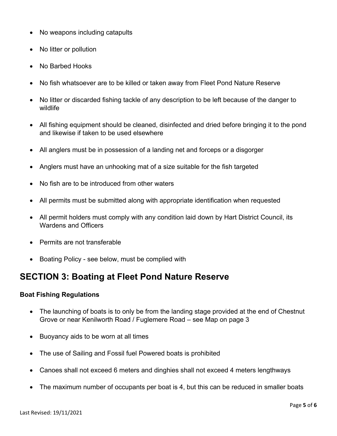- No weapons including catapults
- No litter or pollution
- No Barbed Hooks
- No fish whatsoever are to be killed or taken away from Fleet Pond Nature Reserve
- No litter or discarded fishing tackle of any description to be left because of the danger to wildlife
- All fishing equipment should be cleaned, disinfected and dried before bringing it to the pond and likewise if taken to be used elsewhere
- All anglers must be in possession of a landing net and forceps or a disgorger
- Anglers must have an unhooking mat of a size suitable for the fish targeted
- No fish are to be introduced from other waters
- All permits must be submitted along with appropriate identification when requested
- All permit holders must comply with any condition laid down by Hart District Council, its Wardens and Officers
- Permits are not transferable
- Boating Policy see below, must be complied with

## **SECTION 3: Boating at Fleet Pond Nature Reserve**

#### **Boat Fishing Regulations**

- The launching of boats is to only be from the landing stage provided at the end of Chestnut Grove or near Kenilworth Road / Fuglemere Road – see Map on page 3
- Buoyancy aids to be worn at all times
- The use of Sailing and Fossil fuel Powered boats is prohibited
- Canoes shall not exceed 6 meters and dinghies shall not exceed 4 meters lengthways
- The maximum number of occupants per boat is 4, but this can be reduced in smaller boats